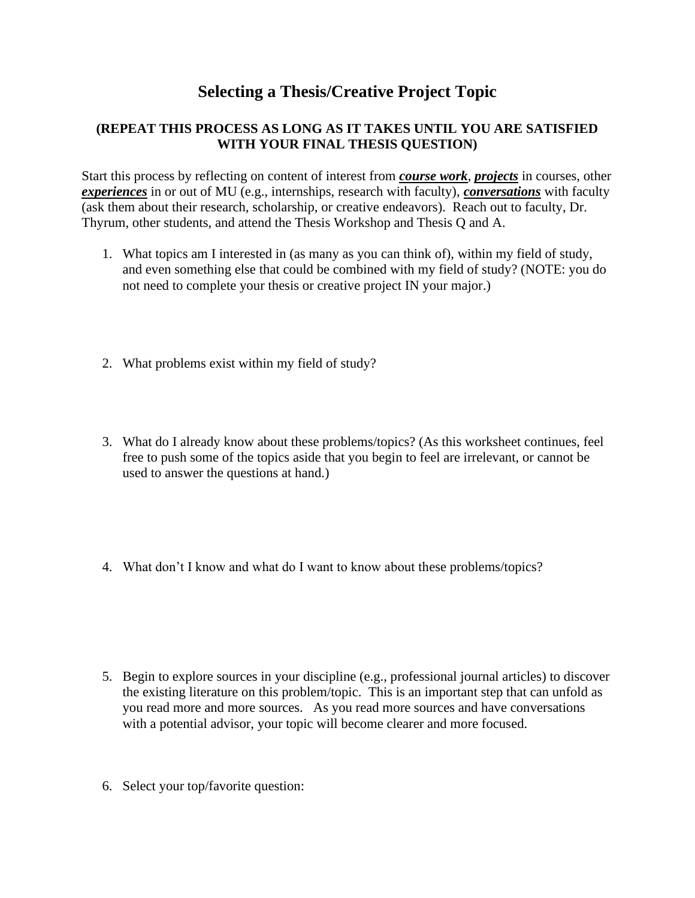## **Selecting a Thesis/Creative Project Topic**

## **(REPEAT THIS PROCESS AS LONG AS IT TAKES UNTIL YOU ARE SATISFIED WITH YOUR FINAL THESIS QUESTION)**

Start this process by reflecting on content of interest from *course work*, *projects* in courses, other *experiences* in or out of MU (e.g., internships, research with faculty), *conversations* with faculty (ask them about their research, scholarship, or creative endeavors). Reach out to faculty, Dr. Thyrum, other students, and attend the Thesis Workshop and Thesis Q and A.

- 1. What topics am I interested in (as many as you can think of), within my field of study, and even something else that could be combined with my field of study? (NOTE: you do not need to complete your thesis or creative project IN your major.)
- 2. What problems exist within my field of study?
- 3. What do I already know about these problems/topics? (As this worksheet continues, feel free to push some of the topics aside that you begin to feel are irrelevant, or cannot be used to answer the questions at hand.)
- 4. What don't I know and what do I want to know about these problems/topics?

- 5. Begin to explore sources in your discipline (e.g., professional journal articles) to discover the existing literature on this problem/topic. This is an important step that can unfold as you read more and more sources. As you read more sources and have conversations with a potential advisor, your topic will become clearer and more focused.
- 6. Select your top/favorite question: